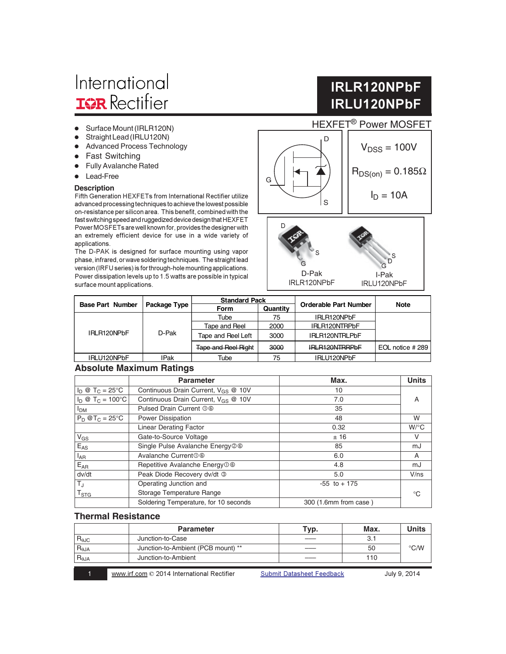# International **IGR** Rectifier

- Surface Mount (IRLR120N)
- Straight Lead (IRLU120N)
- Advanced Process Technology
- Fast Switching
- **•** Fully Avalanche Rated
- $\bullet$ Lead-Free

advanced processing techniques to achieve the lowest possible on-resistance per silicon area. This benefit, combined with the fast switching speed and ruggedized device design that HEXFET Power MOSFETs are well known for, provides the designer with an extremely efficient device for use in a wide variety of applications.

The D-PAK is designed for surface mounting using vapor phase, infrared, or wave soldering techniques. The straight lead version (IRFU series) is for through-hole mounting applications. Power dissipation levels up to 1.5 watts are possible in typical surface mount applications.

## **IRLR120NPbF IRLU120NPbF**





|                         |              | <b>Standard Pack</b>       |          |                       | Note             |
|-------------------------|--------------|----------------------------|----------|-----------------------|------------------|
| <b>Base Part Number</b> | Package Type | <b>Form</b>                | Quantity | Orderable Part Number |                  |
| IRLR120NPbF             | D-Pak        | Tube                       | 75       | IRLR120NPbF           |                  |
|                         |              | Tape and Reel              | 2000     | IRLR120NTRPbF         |                  |
|                         |              | Tape and Reel Left         | 3000     | IRLR120NTRLPbF        |                  |
|                         |              | <b>Tape and Reel Right</b> | 3000     | <b>IRLR120NTRRPbF</b> | EOL notice # 289 |
| IRLU120NPbF             | <b>IPak</b>  | Tube                       | 75       | IRLU120NPbF           |                  |

#### **Absolute Maximum Ratings**

|                              | <b>Parameter</b>                                | Max.                  | <b>Units</b> |  |
|------------------------------|-------------------------------------------------|-----------------------|--------------|--|
| $I_D @ T_C = 25^{\circ}C$    | Continuous Drain Current, V <sub>GS</sub> @ 10V | 10                    |              |  |
| $I_D @ T_C = 100°C$          | Continuous Drain Current, V <sub>GS</sub> @ 10V | 7.0                   | А            |  |
| I <sub>DM</sub>              | Pulsed Drain Current 06                         | 35                    |              |  |
| $P_D$ @T <sub>C</sub> = 25°C | Power Dissipation                               | 48                    | W            |  |
|                              | <b>Linear Derating Factor</b>                   | 0.32                  | $W$ /°C      |  |
| $V_{GS}$                     | Gate-to-Source Voltage                          | ±16                   | V            |  |
| $E_{AS}$                     | Single Pulse Avalanche Energy 26                | 85                    | mJ           |  |
| $I_{AR}$                     | Avalanche Current <sub>0</sub> <sup>©</sup>     | 6.0                   | A            |  |
| $E_{AR}$                     | Repetitive Avalanche Energy <sup>O</sup> ©      | 4.8                   | mJ           |  |
| dv/dt                        | Peak Diode Recovery dv/dt 3                     | 5.0                   | V/ns         |  |
| T,                           | Operating Junction and                          | $-55$ to $+175$       |              |  |
| $\mathsf{T}_{\texttt{STG}}$  | Storage Temperature Range                       |                       | ി            |  |
|                              | Soldering Temperature, for 10 seconds           | 300 (1.6mm from case) |              |  |

#### **Thermal Resistance**

|                        | <b>Parameter</b>                   | Typ. | Max. | Units         |
|------------------------|------------------------------------|------|------|---------------|
| $R_{\theta$ JC         | Junction-to-Case                   |      | З.   |               |
| $R_{\theta$ JA         | Junction-to-Ambient (PCB mount) ** |      | 50   | $\degree$ C/W |
| $R_{\theta \text{JA}}$ | Junction-to-Ambient                |      | 110  |               |

1 Www.irf.com © 2014 Internation

Submit Datasheet Feedback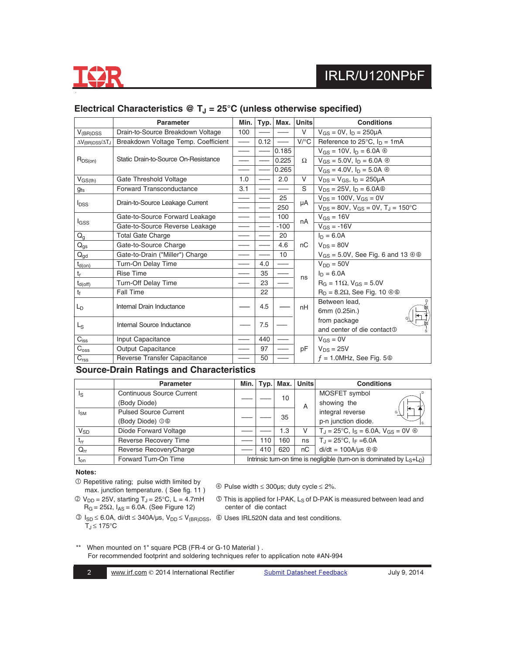

|                                        | Parameter                                          | Min. | Typ. | Max.   | <b>Units</b> | <b>Conditions</b>                                     |
|----------------------------------------|----------------------------------------------------|------|------|--------|--------------|-------------------------------------------------------|
| $V_{(BR)DSS}$                          | Drain-to-Source Breakdown Voltage                  | 100  |      |        | $\vee$       | $V_{GS} = 0V$ , $I_D = 250 \mu A$                     |
| $\Delta V_{\text{(BR)DSS}}/\Delta T_J$ | Breakdown Voltage Temp. Coefficient                |      | 0.12 |        | $V$ /°C      | Reference to $25^{\circ}$ C, $I_D = 1 \text{mA}$      |
|                                        | Static Drain-to-Source On-Resistance               |      |      | 0.185  | Ω            | $V_{GS} = 10V$ , $I_D = 6.0A \circledcirc$            |
| $R_{DS(on)}$                           |                                                    |      |      | 0.225  |              | $V_{GS} = 5.0 V$ , $I_D = 6.0 A$ $\circledcirc$       |
|                                        |                                                    |      |      | 0.265  |              | $V_{GS} = 4.0 V$ , $I_D = 5.0 A \circledcirc$         |
| $V_{GS(th)}$                           | Gate Threshold Voltage                             | 1.0  |      | 2.0    | $\vee$       | $V_{DS} = V_{GS}$ , $I_D = 250 \mu A$                 |
| <b>gfs</b>                             | Forward Transconductance                           | 3.1  |      |        | S            | $V_{DS} = 25V$ , $I_D = 6.0A$                         |
|                                        | Drain-to-Source Leakage Current                    |      |      | 25     | μA           | $V_{DS} = 100V$ , $V_{GS} = 0V$                       |
| <b>I</b> <sub>DSS</sub>                |                                                    |      |      | 250    |              | $V_{DS} = 80V$ , $V_{GS} = 0V$ , $T_J = 150^{\circ}C$ |
|                                        | Gate-to-Source Forward Leakage                     |      |      | 100    | nA           | $V_{GS} = 16V$                                        |
|                                        | l <sub>GSS</sub><br>Gate-to-Source Reverse Leakage |      |      | $-100$ |              | $V_{GS} = -16V$                                       |
| $Q_{g}$                                | <b>Total Gate Charge</b>                           |      |      | 20     |              | $ln = 6.0A$                                           |
| $Q_{gs}$                               | Gate-to-Source Charge                              |      |      | 4.6    | nC           | $V_{DS} = 80V$                                        |
| $Q_{gd}$                               | Gate-to-Drain ("Miller") Charge                    |      |      | 10     |              | $V_{GS}$ = 5.0V, See Fig. 6 and 13 $\circledcirc$     |
| $t_{d(on)}$                            | Turn-On Delay Time                                 |      | 4.0  |        |              | $V_{DD} = 50V$                                        |
| $t_r$                                  | <b>Rise Time</b>                                   |      | 35   |        | ns           | $I_D = 6.0A$                                          |
| $t_{d(\text{off})}$                    | <b>Turn-Off Delay Time</b>                         |      | 23   |        |              | $R_G = 11\Omega$ , $V_{GS} = 5.0V$                    |
| $t_{\rm f}$                            | Fall Time                                          |      | 22   |        |              | $R_D = 8.2\Omega$ , See Fig. 10 $\oplus \oplus$       |
|                                        |                                                    |      |      |        |              | Between lead,                                         |
| L <sub>D</sub>                         | Internal Drain Inductance                          |      | 4.5  |        | nH           | 6mm (0.25in.)                                         |
| $L_{\rm S}$                            |                                                    |      |      |        |              | from package                                          |
|                                        | Internal Source Inductance                         |      | 7.5  |        |              | and center of die contact <sup>®</sup>                |
| $C_{iss}$                              | Input Capacitance                                  |      | 440  |        |              | $V_{GS} = 0V$                                         |
| $C_{\rm oss}$                          | <b>Output Capacitance</b>                          |      | 97   |        | рF           | $V_{DS} = 25V$                                        |
| C <sub>rss</sub>                       | Reverse Transfer Capacitance                       |      | 50   |        |              | $f = 1.0$ MHz, See Fig. 5 $@$                         |

#### Electrical Characteristics @ T<sub>J</sub> = 25°C (unless otherwise specified)

#### **Source-Drain Ratings and Characteristics**

|                       | <b>Parameter</b>                 | Min. | Typ. | Max. | <b>Units</b> | <b>Conditions</b>                                                         |
|-----------------------|----------------------------------|------|------|------|--------------|---------------------------------------------------------------------------|
| ls                    | <b>Continuous Source Current</b> |      |      | 10   |              | MOSFET symbol                                                             |
|                       | (Body Diode)                     |      |      |      | A            | showing the                                                               |
| <sub>Ism</sub>        | <b>Pulsed Source Current</b>     |      |      |      |              | integral reverse<br>G                                                     |
|                       | (Body Diode) 06                  |      |      | 35   |              | p-n junction diode.                                                       |
| <b>V<sub>SD</sub></b> | Diode Forward Voltage            |      |      | 1.3  | V            | $T_{\rm J}$ = 25°C, $I_{\rm S}$ = 6.0A, $V_{\rm GS}$ = 0V $\circledast$   |
| $t_{rr}$              | Reverse Recovery Time            |      | 110  | 160  | ns           | $T_{\rm J} = 25^{\circ}$ C, I <sub>F</sub> = 6.0A                         |
| $Q_{rr}$              | Reverse RecoveryCharge           |      | 410  | 620  | пC           | $di/dt = 100A/\mu s \circledcirc$                                         |
| $t_{on}$              | Forward Turn-On Time             |      |      |      |              | Intrinsic turn-on time is negligible (turn-on is dominated by $L_S+L_D$ ) |

#### **Notes:**

- $O$  Repetitive rating; pulse width limited by max. junction temperature. ( See fig. 11 )
- $\textcircled{2}$  V<sub>DD</sub> = 25V, starting T<sub>J</sub> = 25°C, L = 4.7mH  $R_G = 25\Omega$ ,  $I_{AS} = 6.0$ A. (See Figure 12)

 $\textcircled{4}$  Pulse width  $\leq 300$ µs; duty cycle  $\leq 2\%$ .

- **ID This is applied for I-PAK, L<sub>S</sub> of D-PAK is measured between lead and** center of die contact
- $\textcircled{1}_{SD} \leq 6.0$ A, di/dt  $\leq 340$ A/µs, V<sub>DD</sub>  $\leq$  V<sub>(BR)DSS</sub>,  $\textcircled{0}$  Uses IRL520N data and test conditions.  $T_J \leq 175^{\circ}C$ 
	-

\*\* When mounted on 1" square PCB (FR-4 or G-10 Material ) . For recommended footprint and soldering techniques refer to application note #AN-994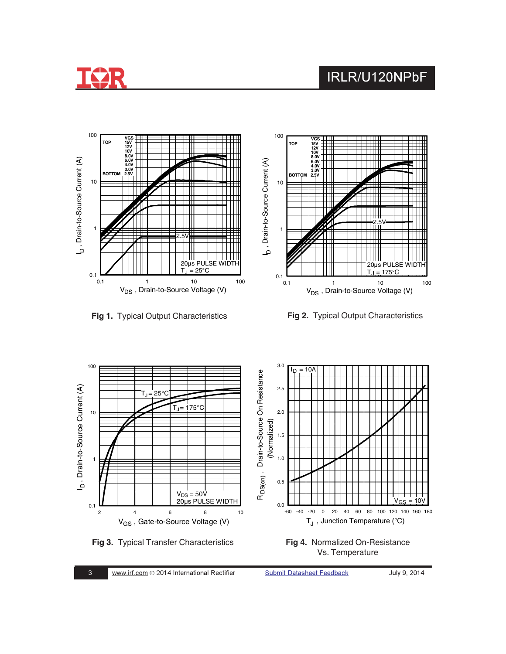





**Fig 1.** Typical Output Characteristics **Fig 2.** Typical Output Characteristics



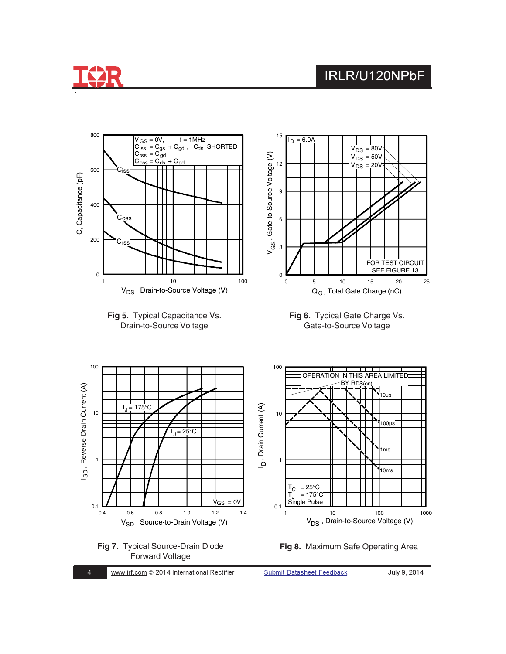



**Submit Datasheet Feedback**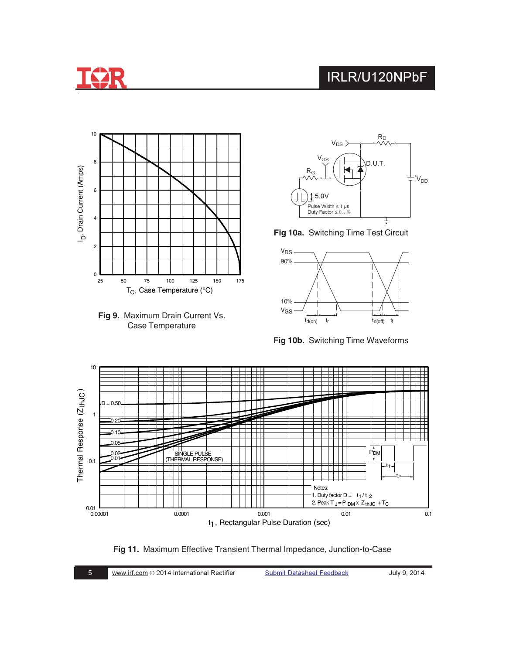







**Fig 10a.** Switching Time Test Circuit



**Fig 10b.** Switching Time Waveforms



**Fig 11.** Maximum Effective Transient Thermal Impedance, Junction-to-Case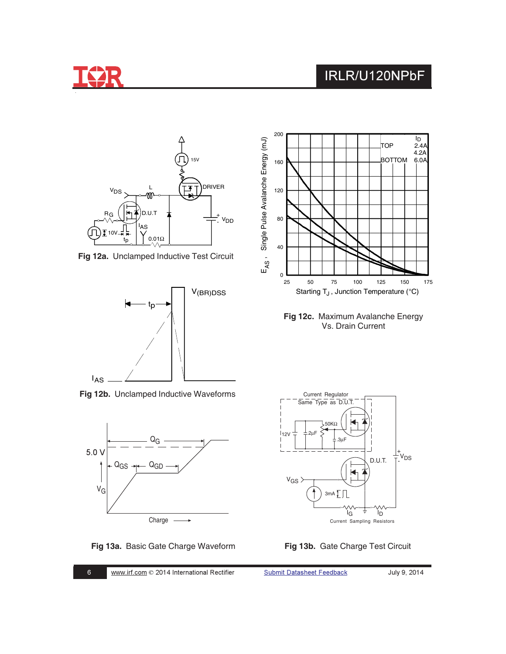



**Fig 12a.** Unclamped Inductive Test Circuit



**Fig 12b.** Unclamped Inductive Waveforms









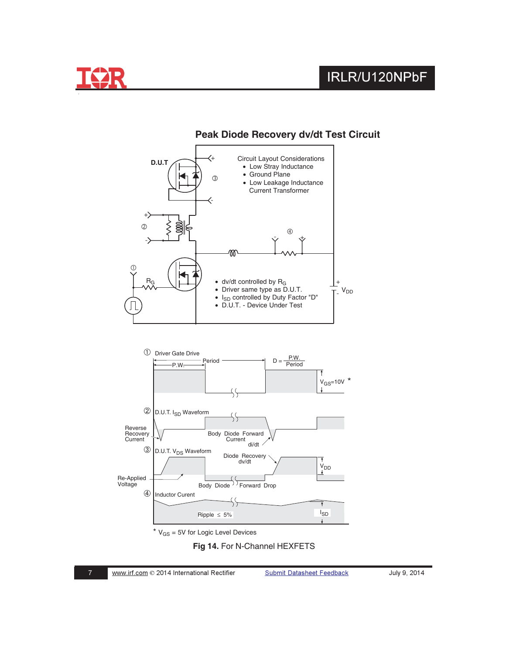







 $*$   $V_{GS}$  = 5V for Logic Level Devices

**Fig 14.** For N-Channel HEXFETS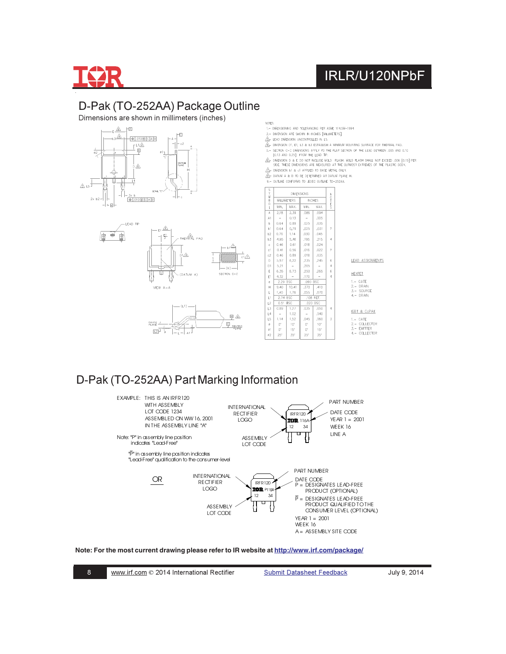

### D-Pak (TO-252AA) Package Outline

Dimensions are shown in millimeters (inches)







- NOTES:<br>1.- DIMENSIONING AND TOLERANCING PER ASME Y14,5M-1994 2. - DIMENSION ARE SHOWN IN INCHES [MILLIMETERS].
- $\mathbf{A}$  LEAD DIMENSION UNCONTROLLED IN L5.
- A DIMENSION DI, E1, L3 & b3 ESTABLISH A MINIMUM MOUNTING SURFACE FOR THERMAL PAD.
- A SET ON C-C DARASONS APPLY TO THE FAX SECTION OF THE LEAD BETWEEN .005 AND 0.10<br>5. SECTION C-C DARASONS APPLY TO THE FAX SECTION OF THE LEAD BETWEEN .005 AND 0.10<br>6. ALL AND 0.25] FROM THE LEAD TP.<br>5. SIDE THESE DIMENSION
	-
- $\overline{\Delta}$  DIMENSION of & cf APPLIED TO BASE METAL ONLY.
- A. DATUM A & B TO BE DETERMINED AT DATUM PLANE H.
- 9. DUITINE CONFORMS TO JEDEC OUTLINE TO-252AA.

| S<br>Y       | <b>DIMENSIONS</b>        |             |          |                 |                          |                           |
|--------------|--------------------------|-------------|----------|-----------------|--------------------------|---------------------------|
| M<br>ġ       |                          | MILLIMETERS | INCHES   |                 | OHE                      |                           |
| 0<br>L.      | MIN.                     | MAX.        | MIN.     | MAX.            |                          |                           |
| A            | 2.18                     | 2.39        | .086     | .094            |                          |                           |
| A1           | $\sim$                   | 0.13        | $\sim$   | .005            |                          |                           |
| b            | 0.64                     | 0.89        | .025     | .035            |                          |                           |
| ЪÍ           | 0.64                     | 0.79        | .025     | .031            | 7                        |                           |
| h2           | 0.76                     | 1.14        | .030     | .045            |                          |                           |
| h.3          | 4.95                     | 5.46        | .195     | .215            | 4                        |                           |
| $\mathbf{c}$ | 0.46                     | 0.61        | .018     | .024            |                          |                           |
| c1           | 0.41                     | 0.56        | .016     | ,022            | $\overline{\phantom{a}}$ |                           |
| c2           | 0.46                     | 0.89        | .018     | .035            |                          |                           |
| D            | 5.97                     | 6.22        | .235     | .245            | 6                        | LEAD ASSIGNMENTS          |
| D1           | 5.21                     | $\sim$      | .205     | $\sim$          | 4                        |                           |
| E.           | 6.35                     | 6.73        | .250     | .265            | 6                        | HEXFET                    |
| E1           | 4.32                     | $\sim$      | .170     | $\sim$          | Δ                        |                           |
| e            | 2.29 BSC                 |             | .090 BSC |                 |                          | $1 - GATE$                |
| H            | 9.40                     | 10.41       | .370     | ,410            |                          | 2. - DRAIN                |
| L.           | 1.40                     | 1.78        | .055     | .070            |                          | 3. - SOURCE<br>4. - DRAIN |
| L1           | 2.74 BSC                 |             |          | .108 REF.       |                          |                           |
| L2           | 0.51 BSC                 |             |          | .020 BSC        |                          |                           |
| L3           | 0.89                     | 1.27        | .035     | .050            | Δ                        | IGBT & CoPAK              |
| L4           | $\overline{\phantom{a}}$ | 1,02        | $\sim$   | ,040            |                          |                           |
| L5           | 1.14                     | 1.52        | .045     | .060            | 3                        | 1.- GATE                  |
| $\sigma$     | $\cap^*$                 | $10*$       | $\cap^*$ | 10 <sup>o</sup> |                          | 2.- COLLECTOR             |
| ø1           | $0^{\circ}$              | 15"         | $O^*$    | $15*$           |                          | 3. - EMITTER              |
| 67           | 25"                      | 35"         | 25"      | 35"             |                          | 4.- COLLECTOR             |
|              |                          |             |          |                 |                          |                           |

### D-Pak (TO-252AA) Part Marking Information



#### **Note: For the most current drawing please refer to IR website at <http://www.irf.com/package/>**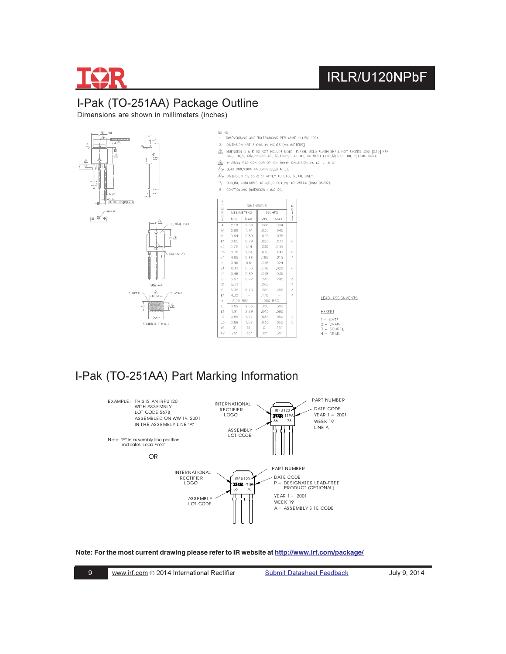

### I-Pak (TO-251AA) Package Outline

Dimensions are shown in millimeters (inches)



### I-Pak (TO-251AA) Part Marking Information



#### **Note: For the most current drawing please refer to IR website at <http://www.irf.com/package/>**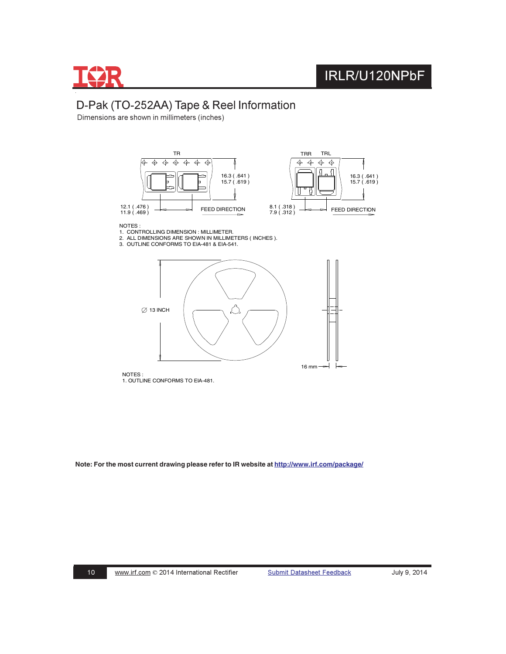

#### D-Pak (TO-252AA) Tape & Reel Information

Dimensions are shown in millimeters (inches)



NOTES :

- 1. CONTROLLING DIMENSION : MILLIMETER.<br>2. ALL DIMENSIONS ARE SHOWN IN MILLIMETERS ( INCHES ).<br>3. OUTLINE CONFORMS TO EIA-481 & EIA-541.
- 



NOTES : 1. OUTLINE CONFORMS TO EIA-481.

**Note: For the most current drawing please refer to IR website at<http://www.irf.com/package/>**